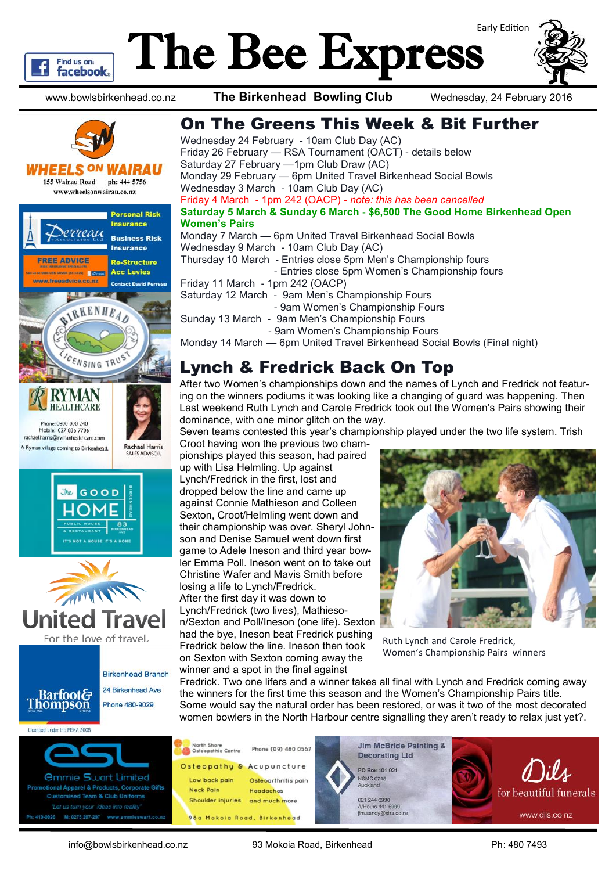

# The Bee Express





#### **WHEELS <sup>ON</sup> WAIRAU**

155 Wairau Road ph: 444 5756 www.wheelsonwairau.co.nz







**Birkenhead Branch** 24 Birkenhead Ave

**Barfoot& Thompson** Phone 480-9029





Wednesday 24 February - 10am Club Day (AC) Friday 26 February — RSA Tournament (OACT) - details below Saturday 27 February —1pm Club Draw (AC) Monday 29 February — 6pm United Travel Birkenhead Social Bowls Wednesday 3 March - 10am Club Day (AC) Friday 4 March - 1pm 242 (OACP) *- note: this has been cancelled* **Saturday 5 March & Sunday 6 March - \$6,500 The Good Home Birkenhead Open Women's Pairs** Monday 7 March — 6pm United Travel Birkenhead Social Bowls Wednesday 9 March - 10am Club Day (AC) Thursday 10 March - Entries close 5pm Men's Championship fours - Entries close 5pm Women's Championship fours Friday 11 March - 1pm 242 (OACP) Saturday 12 March - 9am Men's Championship Fours - 9am Women's Championship Fours Sunday 13 March - 9am Men's Championship Fours - 9am Women's Championship Fours Monday 14 March — 6pm United Travel Birkenhead Social Bowls (Final night)

#### Lynch & Fredrick Back On Top

After two Women's championships down and the names of Lynch and Fredrick not featuring on the winners podiums it was looking like a changing of guard was happening. Then Last weekend Ruth Lynch and Carole Fredrick took out the Women's Pairs showing their dominance, with one minor glitch on the way.

Seven teams contested this year's championship played under the two life system. Trish

Croot having won the previous two championships played this season, had paired up with Lisa Helmling. Up against Lynch/Fredrick in the first, lost and dropped below the line and came up against Connie Mathieson and Colleen Sexton, Croot/Helmling went down and their championship was over. Sheryl Johnson and Denise Samuel went down first game to Adele Ineson and third year bowler Emma Poll. Ineson went on to take out Christine Wafer and Mavis Smith before losing a life to Lynch/Fredrick. After the first day it was down to Lynch/Fredrick (two lives), Mathieson/Sexton and Poll/Ineson (one life). Sexton had the bye, Ineson beat Fredrick pushing Fredrick below the line. Ineson then took on Sexton with Sexton coming away the winner and a spot in the final against



Ruth Lynch and Carole Fredrick, Women's Championship Pairs winners

Fredrick. Two one lifers and a winner takes all final with Lynch and Fredrick coming away the winners for the first time this season and the Women's Championship Pairs title. Some would say the natural order has been restored, or was it two of the most decorated women bowlers in the North Harbour centre signalling they aren't ready to relax just yet?.



Licensed under the REAA 2008







info@bowlsbirkenhead.co.nz 93 Mokoia Road, Birkenhead Ph: 480 7493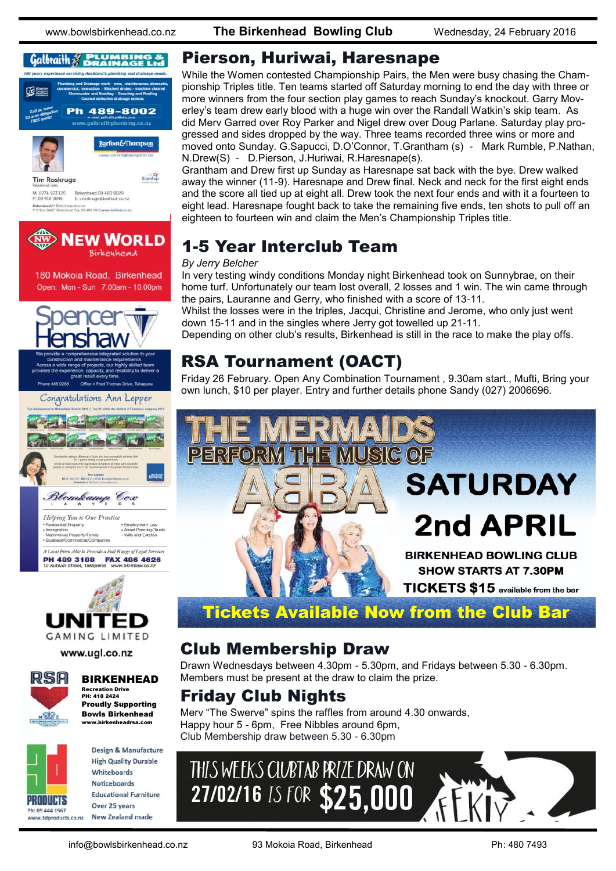www.bowlsbirkenhead.co.nz **The Birkenhead Bowling Club** Wednesday, 24 February 2016

#### Galbraith & **PLUMBING &**



M: 0274 923 125<br>P: 09 418 3846 Birkenhead 09 480 9029<br>E: t.roskruge@barfoot.co.nz Birkenhead 24 Birkenhead Avenue<br>P O Box 34027 Birkenhead Fax. 09 480 9018 www.barfoo



180 Mokoia Road, Birkenhead Open: Mon - Sun 7.00am - 10.00pm





www.ugl.co.nz



#### BIRKENHEAD

Recreation Drive PH: 418 2424 Proudly Supporting Bowls Birkenhead www.birkenheadrsa.com



**Design & Manufacture High Quality Durable** Whiteboards **Noticeboards Educational Furniture** Over 25 years **New Zealand made** 

#### Pierson, Huriwai, Haresnape

While the Women contested Championship Pairs, the Men were busy chasing the Championship Triples title. Ten teams started off Saturday morning to end the day with three or more winners from the four section play games to reach Sunday's knockout. Garry Moverley's team drew early blood with a huge win over the Randall Watkin's skip team. As did Merv Garred over Roy Parker and Nigel drew over Doug Parlane. Saturday play progressed and sides dropped by the way. Three teams recorded three wins or more and moved onto Sunday. G.Sapucci, D.O'Connor, T.Grantham (s) - Mark Rumble, P.Nathan, N.Drew(S) - D.Pierson, J.Huriwai, R.Haresnape(s).

Grantham and Drew first up Sunday as Haresnape sat back with the bye. Drew walked away the winner (11-9). Haresnape and Drew final. Neck and neck for the first eight ends and the score all tied up at eight all. Drew took the next four ends and with it a fourteen to eight lead. Haresnape fought back to take the remaining five ends, ten shots to pull off an eighteen to fourteen win and claim the Men's Championship Triples title.

#### 1-5 Year Interclub Team

#### *By Jerry Belcher*

In very testing windy conditions Monday night Birkenhead took on Sunnybrae, on their home turf. Unfortunately our team lost overall, 2 losses and 1 win. The win came through the pairs, Lauranne and Gerry, who finished with a score of 13-11.

Whilst the losses were in the triples, Jacqui, Christine and Jerome, who only just went down 15-11 and in the singles where Jerry got towelled up 21-11.

Depending on other club's results, Birkenhead is still in the race to make the play offs.

#### RSA Tournament (OACT)

Friday 26 February. Open Any Combination Tournament , 9.30am start., Mufti, Bring your own lunch, \$10 per player. Entry and further details phone Sandy (027) 2006696.



#### Club Membership Draw

Drawn Wednesdays between 4.30pm - 5.30pm, and Fridays between 5.30 - 6.30pm. Members must be present at the draw to claim the prize.

#### Friday Club Nights

Merv "The Swerve" spins the raffles from around 4.30 onwards, Happy hour 5 - 6pm, Free Nibbles around 6pm, Club Membership draw between 5.30 - 6.30pm

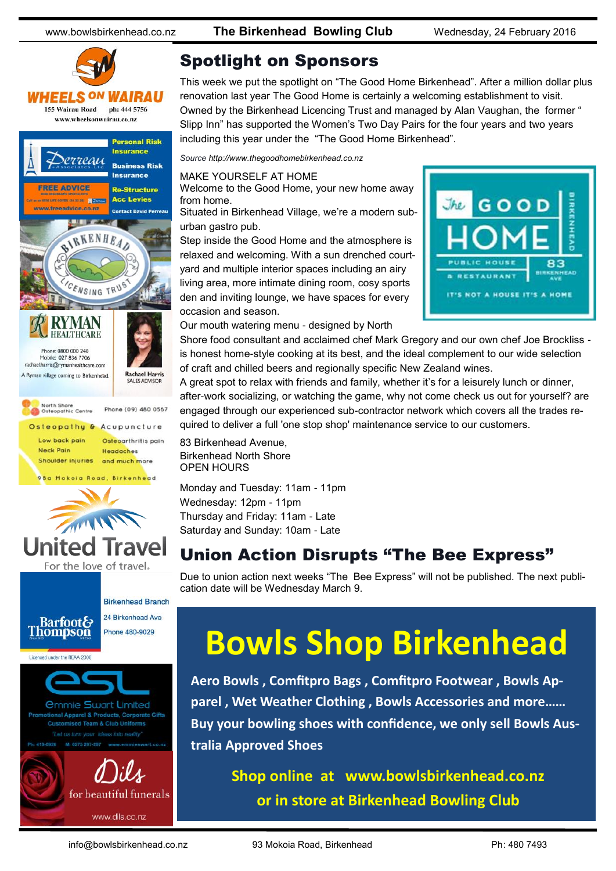www.bowlsbirkenhead.co.nz **The Birkenhead Bowling Club** Wednesday, 24 February 2016



#### Spotlight on Sponsors

This week we put the spotlight on "The Good Home Birkenhead". After a million dollar plus renovation last year The Good Home is certainly a welcoming establishment to visit. Owned by the Birkenhead Licencing Trust and managed by Alan Vaughan, the former " Slipp Inn" has supported the Women's Two Day Pairs for the four years and two years including this year under the "The Good Home Birkenhead".

*Source http://www.thegoodhomebirkenhead.co.nz*

MAKE YOURSELF AT HOME

Welcome to the Good Home, your new home away from home.

Situated in Birkenhead Village, we're a modern suburban gastro pub.

Step inside the Good Home and the atmosphere is relaxed and welcoming. With a sun drenched courtyard and multiple interior spaces including an airy living area, more intimate dining room, cosy sports den and inviting lounge, we have spaces for every occasion and season.



Our mouth watering menu - designed by North

Shore food consultant and acclaimed chef Mark Gregory and our own chef Joe Brockliss is honest home-style cooking at its best, and the ideal complement to our wide selection of craft and chilled beers and regionally specific New Zealand wines.

A great spot to relax with friends and family, whether it's for a leisurely lunch or dinner, after-work socializing, or watching the game, why not come check us out for yourself? are engaged through our experienced sub-contractor network which covers all the trades required to deliver a full 'one stop shop' maintenance service to our customers.

83 Birkenhead Avenue, Birkenhead North Shore OPEN HOURS

Monday and Tuesday: 11am - 11pm Wednesday: 12pm - 11pm Thursday and Friday: 11am - Late Saturday and Sunday: 10am - Late

#### Union Action Disrupts "The Bee Express"

Due to union action next weeks "The Bee Express" will not be published. The next publication date will be Wednesday March 9.

# **Bowls Shop Birkenhead**

**Aero Bowls , Comfitpro Bags , Comfitpro Footwear , Bowls Apparel , Wet Weather Clothing , Bowls Accessories and more…… Buy your bowling shoes with confidence, we only sell Bowls Australia Approved Shoes** 

#### **Shop online at www.bowlsbirkenhead.co.nz or in store at Birkenhead Bowling Club**

www.dils.co.nz